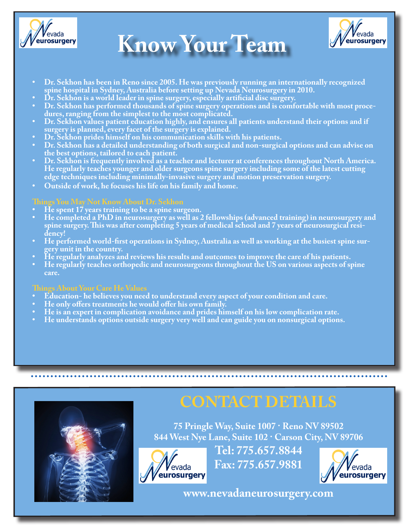

# **Know Your Team**



- **• Dr. Sekhon has been in Reno since 2005. He was previously running an internationally recognized spine hospital in Sydney, Australia before setting up Nevada Neurosurgery in 2010.**
- **• Dr. Sekhon is a world leader in spine surgery, especially artificial disc surgery.**
- **• Dr. Sekhon has performed thousands of spine surgery operations and is comfortable with most procedures, ranging from the simplest to the most complicated.**
- **• Dr. Sekhon values patient education highly, and ensures all patients understand their options and if surgery is planned, every facet of the surgery is explained.**
- **• Dr. Sekhon prides himself on his communication skills with his patients.**
- **• Dr. Sekhon has a detailed understanding of both surgical and non-surgical options and can advise on the best options, tailored to each patient.**
- **• Dr. Sekhon is frequently involved as a teacher and lecturer at conferences throughout North America. He regularly teaches younger and older surgeons spine surgery including some of the latest cutting edge techniques including minimally-invasive surgery and motion preservation surgery.**
- **• Outside of work, he focuses his life on his family and home.**

### **Things You May Not Know About Dr. Sekhon**

- **• He spent 17 years training to be a spine surgeon.**
- **• He completed a PhD in neurosurgery as well as 2 fellowships (advanced training) in neurosurgery and spine surgery. This was after completing 5 years of medical school and 7 years of neurosurgical residency!**
- **• He performed world-first operations in Sydney, Australia as well as working at the busiest spine surgery unit in the country.**
- **• He regularly analyzes and reviews his results and outcomes to improve the care of his patients.**
- **• He regularly teaches orthopedic and neurosurgeons throughout the US on various aspects of spine care.**

## **Things About Your Care He Values**

- **• Education- he believes you need to understand every aspect of your condition and care.**
- **• He only offers treatments he would offer his own family.**
- **• He is an expert in complication avoidance and prides himself on his low complication rate.**
- **• He understands options outside surgery very well and can guide you on nonsurgical options.**



# **CONTACT DETAILS**

**75 Pringle Way, Suite 1007 · Reno NV 89502 844 West Nye Lane, Suite 102 · Carson City, NV 89706**



**Tel: 775.657.8844 Fax: 775.657.9881**



**www.nevadaneurosurgery.com**